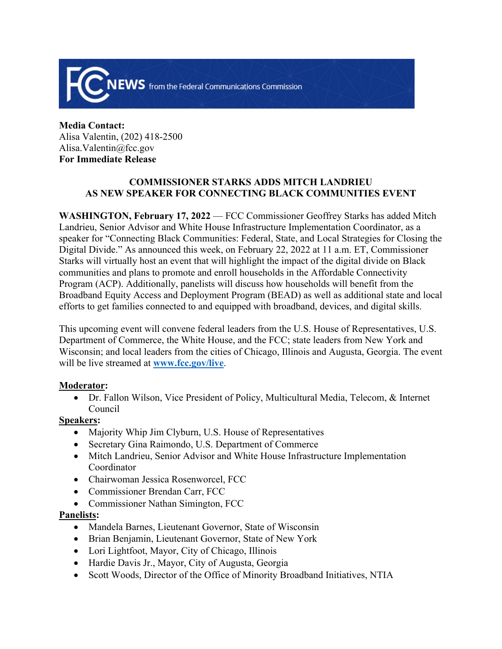

**Media Contact:** Alisa Valentin, (202) 418-2500 Alisa.Valentin@fcc.gov **For Immediate Release**

# **COMMISSIONER STARKS ADDS MITCH LANDRIEU AS NEW SPEAKER FOR CONNECTING BLACK COMMUNITIES EVENT**

**WASHINGTON, February 17, 2022** — FCC Commissioner Geoffrey Starks has added Mitch Landrieu, Senior Advisor and White House Infrastructure Implementation Coordinator, as a speaker for "Connecting Black Communities: Federal, State, and Local Strategies for Closing the Digital Divide." As announced this week, on February 22, 2022 at 11 a.m. ET, Commissioner Starks will virtually host an event that will highlight the impact of the digital divide on Black communities and plans to promote and enroll households in the Affordable Connectivity Program (ACP). Additionally, panelists will discuss how households will benefit from the Broadband Equity Access and Deployment Program (BEAD) as well as additional state and local efforts to get families connected to and equipped with broadband, devices, and digital skills.

This upcoming event will convene federal leaders from the U.S. House of Representatives, U.S. Department of Commerce, the White House, and the FCC; state leaders from New York and Wisconsin; and local leaders from the cities of Chicago, Illinois and Augusta, Georgia. The event will be live streamed at **[www.fcc.gov/live](file:///C:/Users/Geoffrey.Starks/AppData/Local/Microsoft/Windows/INetCache/Content.Outlook/FXEA3X9U/www.fcc.gov/live)**.

## **Moderator:**

 Dr. Fallon Wilson, Vice President of Policy, Multicultural Media, Telecom, & Internet Council

## **Speakers:**

- Majority Whip Jim Clyburn, U.S. House of Representatives
- Secretary Gina Raimondo, U.S. Department of Commerce
- Mitch Landrieu, Senior Advisor and White House Infrastructure Implementation Coordinator
- Chairwoman Jessica Rosenworcel, FCC
- Commissioner Brendan Carr, FCC
- Commissioner Nathan Simington, FCC

## **Panelists:**

- Mandela Barnes, Lieutenant Governor, State of Wisconsin
- Brian Benjamin, Lieutenant Governor, State of New York
- Lori Lightfoot, Mayor, City of Chicago, Illinois
- Hardie Davis Jr., Mayor, City of Augusta, Georgia
- Scott Woods, Director of the Office of Minority Broadband Initiatives, NTIA